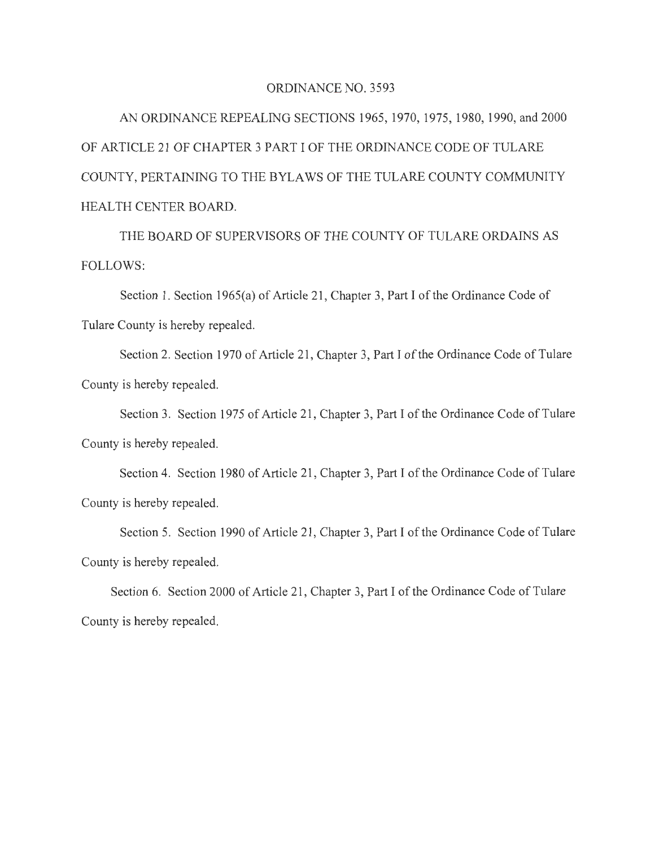## ORDINANCE NO. 3593

AN ORDINANCE REPEALING SECTIONS 1965, 1970, 1975, 1980, 1990, and 2000 OF ARTICLE 21 OF CHAPTER 3 PART I OF THE ORDINANCE CODE OF TULARE COUNTY, PERTAINING TO THE BYLAWS OF THE TULARE COUNTY COMMUNITY HEALTH CENTER BOARD.

THE BOARD OF SUPERVISORS OF THE COUNTY OF TULARE ORDAINS AS FOLLOWS:

Section 1. Section 1965(a) of Article 21, Chapter 3, Part I of the Ordinance Code of Tulare County is hereby repealed.

Section 2. Section 1970 of Article 21, Chapter 3, Part I of the Ordinance Code of Tulare County is hereby repealed.

Section 3. Section 1975 of Article 21, Chapter 3, Part I of the Ordinance Code of Tulare County is hereby repealed.

Section 4. Section 1980 of Article 21, Chapter 3, Part I of the Ordinance Code of Tulare County is hereby repealed.

Section 5. Section 1990 of Article 21, Chapter 3, Part I of the Ordinance Code of Tulare County is hereby repealed.

Section 6. Section 2000 of Article 21 , Chapter 3, Part I of the Ordinance Code of Tulare County is hereby repealed.